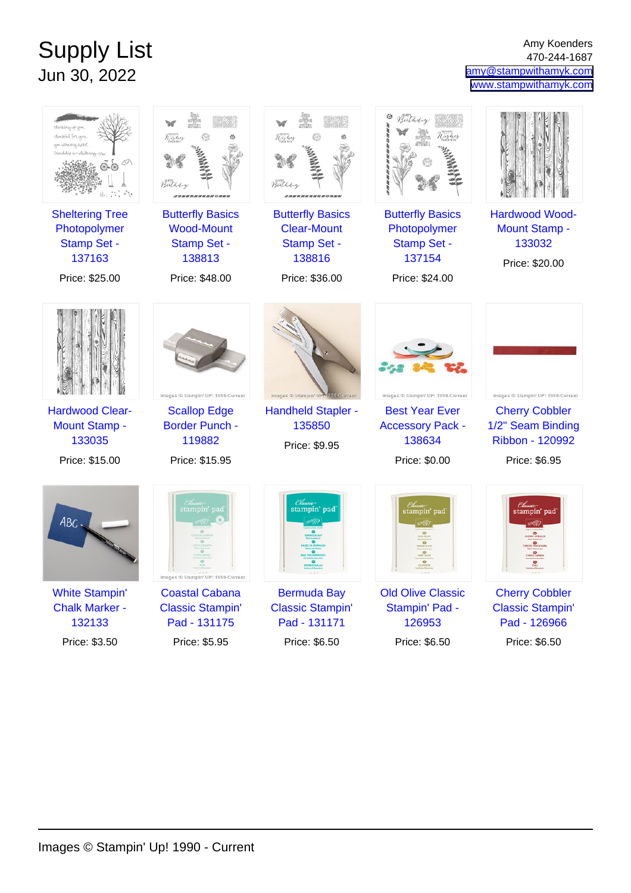## Supply List Jun 30, 2022

Amy Koenders 470-244-1687 [amy@stampwithamyk.com](mailto:amy@stampwithamyk.com) [www.stampwithamyk.com](http://www.stampwithamyk.com)